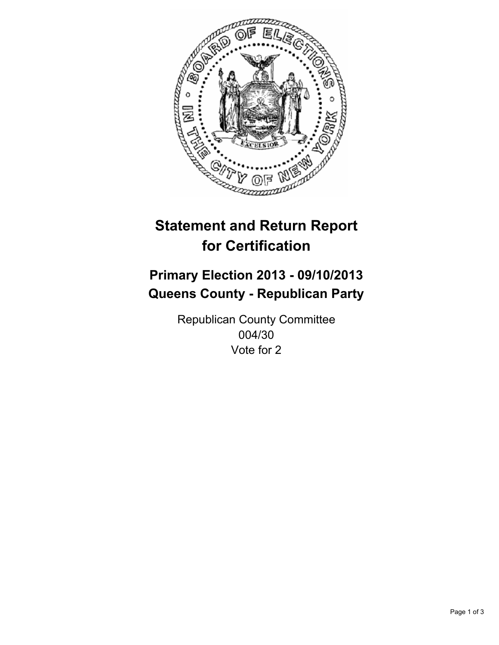

# **Statement and Return Report for Certification**

# **Primary Election 2013 - 09/10/2013 Queens County - Republican Party**

Republican County Committee 004/30 Vote for 2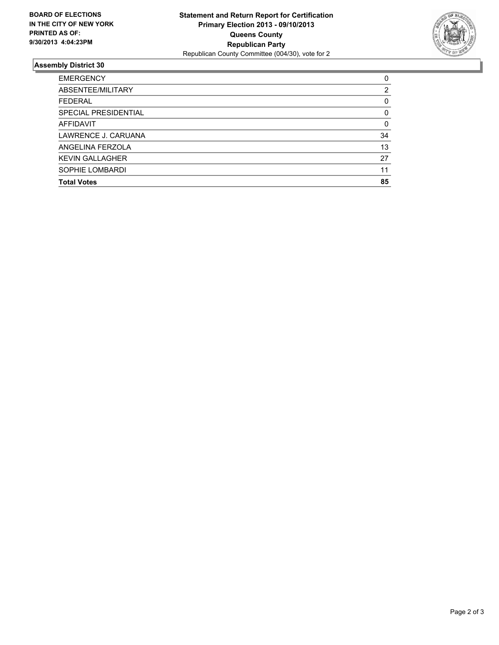

## **Assembly District 30**

| ABSENTEE/MILITARY<br><b>FEDERAL</b><br>SPECIAL PRESIDENTIAL<br><b>AFFIDAVIT</b><br>LAWRENCE J. CARUANA<br>ANGELINA FERZOLA<br><b>KEVIN GALLAGHER</b> | <b>EMERGENCY</b> | $\Omega$ |
|------------------------------------------------------------------------------------------------------------------------------------------------------|------------------|----------|
|                                                                                                                                                      |                  | 2        |
|                                                                                                                                                      |                  | 0        |
|                                                                                                                                                      |                  | 0        |
|                                                                                                                                                      |                  | $\Omega$ |
|                                                                                                                                                      |                  | 34       |
|                                                                                                                                                      |                  | 13       |
|                                                                                                                                                      |                  | 27       |
|                                                                                                                                                      | SOPHIE LOMBARDI  | 11       |
| <b>Total Votes</b>                                                                                                                                   |                  | 85       |